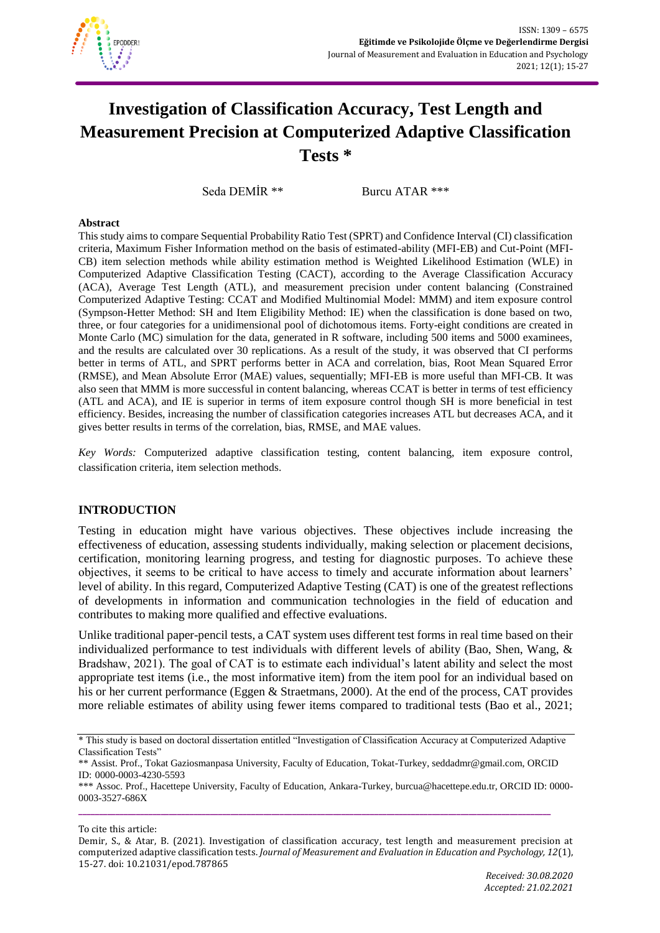

# **Investigation of Classification Accuracy, Test Length and Measurement Precision at Computerized Adaptive Classification Tests \***

Seda DEMİR \*\* Burcu ATAR \*\*\*

#### **Abstract**

This study aims to compare Sequential Probability Ratio Test (SPRT) and Confidence Interval (CI) classification criteria, Maximum Fisher Information method on the basis of estimated-ability (MFI-EB) and Cut-Point (MFI-CB) item selection methods while ability estimation method is Weighted Likelihood Estimation (WLE) in Computerized Adaptive Classification Testing (CACT), according to the Average Classification Accuracy (ACA), Average Test Length (ATL), and measurement precision under content balancing (Constrained Computerized Adaptive Testing: CCAT and Modified Multinomial Model: MMM) and item exposure control (Sympson-Hetter Method: SH and Item Eligibility Method: IE) when the classification is done based on two, three, or four categories for a unidimensional pool of dichotomous items. Forty-eight conditions are created in Monte Carlo (MC) simulation for the data, generated in R software, including 500 items and 5000 examinees, and the results are calculated over 30 replications. As a result of the study, it was observed that CI performs better in terms of ATL, and SPRT performs better in ACA and correlation, bias, Root Mean Squared Error (RMSE), and Mean Absolute Error (MAE) values, sequentially; MFI-EB is more useful than MFI-CB. It was also seen that MMM is more successful in content balancing, whereas CCAT is better in terms of test efficiency (ATL and ACA), and IE is superior in terms of item exposure control though SH is more beneficial in test efficiency. Besides, increasing the number of classification categories increases ATL but decreases ACA, and it gives better results in terms of the correlation, bias, RMSE, and MAE values.

*Key Words:* Computerized adaptive classification testing, content balancing, item exposure control, classification criteria, item selection methods.

## **INTRODUCTION**

Testing in education might have various objectives. These objectives include increasing the effectiveness of education, assessing students individually, making selection or placement decisions, certification, monitoring learning progress, and testing for diagnostic purposes. To achieve these objectives, it seems to be critical to have access to timely and accurate information about learners' level of ability. In this regard, Computerized Adaptive Testing (CAT) is one of the greatest reflections of developments in information and communication technologies in the field of education and contributes to making more qualified and effective evaluations.

Unlike traditional paper-pencil tests, a CAT system uses different test forms in real time based on their individualized performance to test individuals with different levels of ability (Bao, Shen, Wang, & Bradshaw, 2021). The goal of CAT is to estimate each individual's latent ability and select the most appropriate test items (i.e., the most informative item) from the item pool for an individual based on his or her current performance (Eggen & Straetmans, 2000). At the end of the process, CAT provides more reliable estimates of ability using fewer items compared to traditional tests (Bao et al., 2021;

<sup>\*</sup> This study is based on doctoral dissertation entitled "Investigation of Classification Accuracy at Computerized Adaptive Classification Tests"

<sup>\*\*</sup> Assist. Prof., Tokat Gaziosmanpasa University, Faculty of Education, Tokat-Turkey, seddadmr@gmail.com, ORCID ID: 0000-0003-4230-5593

<sup>\*\*\*</sup> Assoc. Prof., Hacettepe University, Faculty of Education, Ankara-Turkey, burcua@hacettepe.edu.tr, ORCID ID: 0000- 0003-3527-686X

To cite this article:

Demir, S., & Atar, B. (2021). Investigation of classification accuracy, test length and measurement precision at computerized adaptive classification tests. *Journal of Measurement and Evaluation in Education and Psychology, 12*(1), 15-27. doi: 10.21031/epod.787865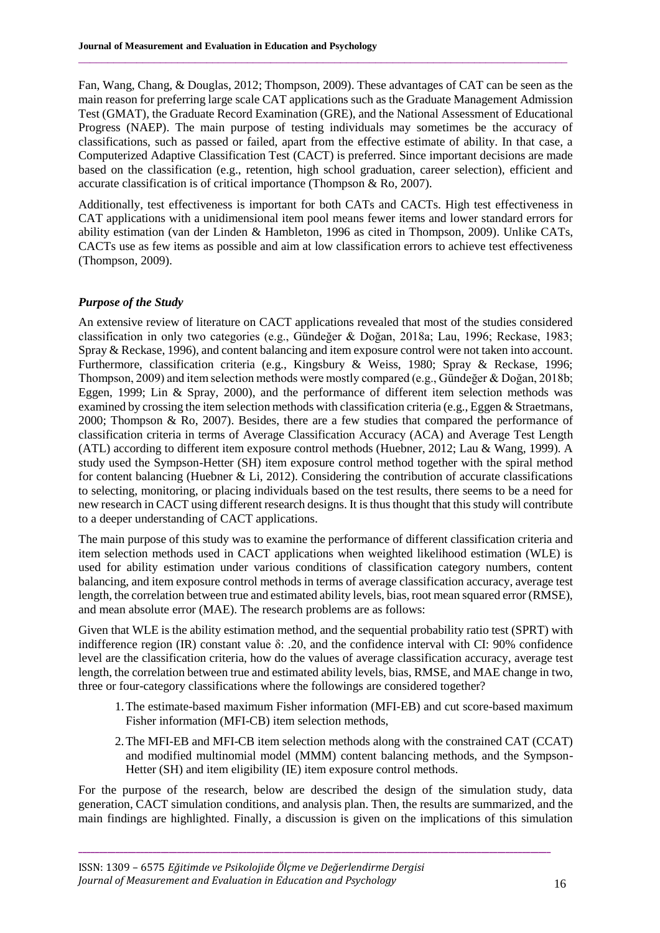Fan, Wang, Chang, & Douglas, 2012; Thompson, 2009). These advantages of CAT can be seen as the main reason for preferring large scale CAT applications such as the Graduate Management Admission Test (GMAT), the Graduate Record Examination (GRE), and the National Assessment of Educational Progress (NAEP). The main purpose of testing individuals may sometimes be the accuracy of classifications, such as passed or failed, apart from the effective estimate of ability. In that case, a Computerized Adaptive Classification Test (CACT) is preferred. Since important decisions are made based on the classification (e.g., retention, high school graduation, career selection), efficient and accurate classification is of critical importance (Thompson & Ro, 2007).

 $\_$  , and the state of the state of the state of the state of the state of the state of the state of the state of the state of the state of the state of the state of the state of the state of the state of the state of the

Additionally, test effectiveness is important for both CATs and CACTs. High test effectiveness in CAT applications with a unidimensional item pool means fewer items and lower standard errors for ability estimation (van der Linden & Hambleton, 1996 as cited in Thompson, 2009). Unlike CATs, CACTs use as few items as possible and aim at low classification errors to achieve test effectiveness (Thompson, 2009).

# *Purpose of the Study*

An extensive review of literature on CACT applications revealed that most of the studies considered classification in only two categories (e.g., Gündeğer & Doğan, 2018a; Lau, 1996; Reckase, 1983; Spray & Reckase, 1996), and content balancing and item exposure control were not taken into account. Furthermore, classification criteria (e.g., Kingsbury & Weiss, 1980; Spray & Reckase, 1996; Thompson, 2009) and item selection methods were mostly compared (e.g., Gündeğer & Doğan, 2018b; Eggen, 1999; Lin & Spray, 2000), and the performance of different item selection methods was examined by crossing the item selection methods with classification criteria (e.g., Eggen & Straetmans, 2000; Thompson & Ro, 2007). Besides, there are a few studies that compared the performance of classification criteria in terms of Average Classification Accuracy (ACA) and Average Test Length (ATL) according to different item exposure control methods (Huebner, 2012; Lau & Wang, 1999). A study used the Sympson-Hetter (SH) item exposure control method together with the spiral method for content balancing (Huebner & Li, 2012). Considering the contribution of accurate classifications to selecting, monitoring, or placing individuals based on the test results, there seems to be a need for new research in CACT using different research designs. It is thus thought that this study will contribute to a deeper understanding of CACT applications.

The main purpose of this study was to examine the performance of different classification criteria and item selection methods used in CACT applications when weighted likelihood estimation (WLE) is used for ability estimation under various conditions of classification category numbers, content balancing, and item exposure control methods in terms of average classification accuracy, average test length, the correlation between true and estimated ability levels, bias, root mean squared error (RMSE), and mean absolute error (MAE). The research problems are as follows:

Given that WLE is the ability estimation method, and the sequential probability ratio test (SPRT) with indifference region (IR) constant value δ: .20, and the confidence interval with CI: 90% confidence level are the classification criteria, how do the values of average classification accuracy, average test length, the correlation between true and estimated ability levels, bias, RMSE, and MAE change in two, three or four-category classifications where the followings are considered together?

- 1.The estimate-based maximum Fisher information (MFI-EB) and cut score-based maximum Fisher information (MFI-CB) item selection methods,
- 2.The MFI-EB and MFI-CB item selection methods along with the constrained CAT (CCAT) and modified multinomial model (MMM) content balancing methods, and the Sympson-Hetter (SH) and item eligibility (IE) item exposure control methods.

For the purpose of the research, below are described the design of the simulation study, data generation, CACT simulation conditions, and analysis plan. Then, the results are summarized, and the main findings are highlighted. Finally, a discussion is given on the implications of this simulation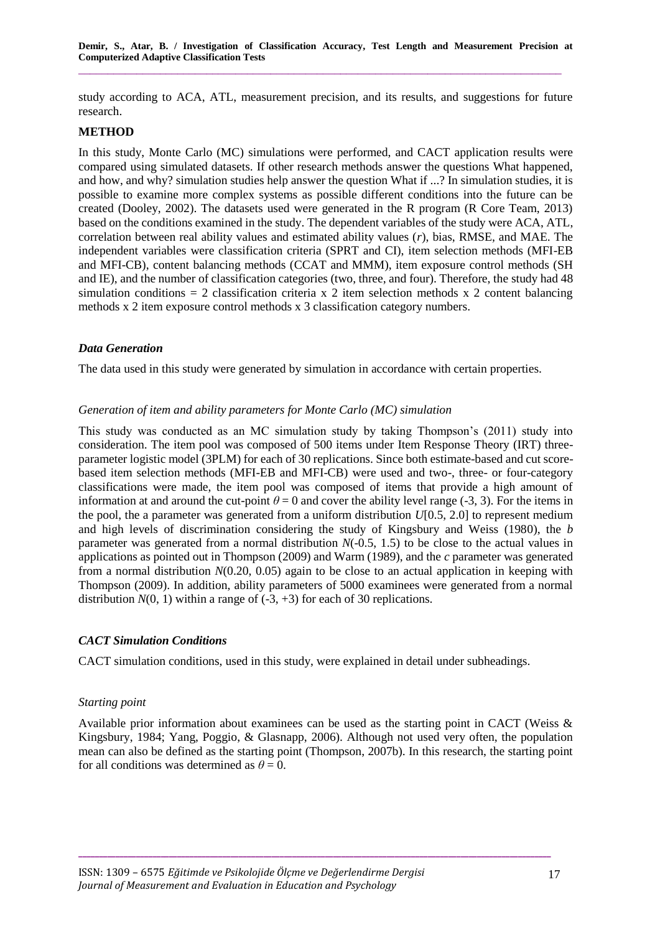study according to ACA, ATL, measurement precision, and its results, and suggestions for future research.

# **METHOD**

In this study, Monte Carlo (MC) simulations were performed, and CACT application results were compared using simulated datasets. If other research methods answer the questions What happened, and how, and why? simulation studies help answer the question What if ...? In simulation studies, it is possible to examine more complex systems as possible different conditions into the future can be created (Dooley, 2002). The datasets used were generated in the R program (R Core Team, 2013) based on the conditions examined in the study. The dependent variables of the study were ACA, ATL, correlation between real ability values and estimated ability values (*r*), bias, RMSE, and MAE. The independent variables were classification criteria (SPRT and CI), item selection methods (MFI-EB and MFI-CB), content balancing methods (CCAT and MMM), item exposure control methods (SH and IE), and the number of classification categories (two, three, and four). Therefore, the study had 48 simulation conditions  $= 2$  classification criteria x 2 item selection methods x 2 content balancing methods x 2 item exposure control methods x 3 classification category numbers.

# *Data Generation*

The data used in this study were generated by simulation in accordance with certain properties.

# *Generation of item and ability parameters for Monte Carlo (MC) simulation*

This study was conducted as an MC simulation study by taking Thompson's (2011) study into consideration. The item pool was composed of 500 items under Item Response Theory (IRT) threeparameter logistic model (3PLM) for each of 30 replications. Since both estimate-based and cut scorebased item selection methods (MFI-EB and MFI-CB) were used and two-, three- or four-category classifications were made, the item pool was composed of items that provide a high amount of information at and around the cut-point  $\theta = 0$  and cover the ability level range (-3, 3). For the items in the pool, the a parameter was generated from a uniform distribution *U*[0.5, 2.0] to represent medium and high levels of discrimination considering the study of Kingsbury and Weiss (1980), the *b* parameter was generated from a normal distribution *N*(-0.5, 1.5) to be close to the actual values in applications as pointed out in Thompson (2009) and Warm (1989), and the *c* parameter was generated from a normal distribution *N*(0.20, 0.05) again to be close to an actual application in keeping with Thompson (2009). In addition, ability parameters of 5000 examinees were generated from a normal distribution  $N(0, 1)$  within a range of  $(-3, +3)$  for each of 30 replications.

# *CACT Simulation Conditions*

CACT simulation conditions, used in this study, were explained in detail under subheadings.

## *Starting point*

Available prior information about examinees can be used as the starting point in CACT (Weiss  $\&$ Kingsbury, 1984; Yang, Poggio, & Glasnapp, 2006). Although not used very often, the population mean can also be defined as the starting point (Thompson, 2007b). In this research, the starting point for all conditions was determined as  $\theta = 0$ .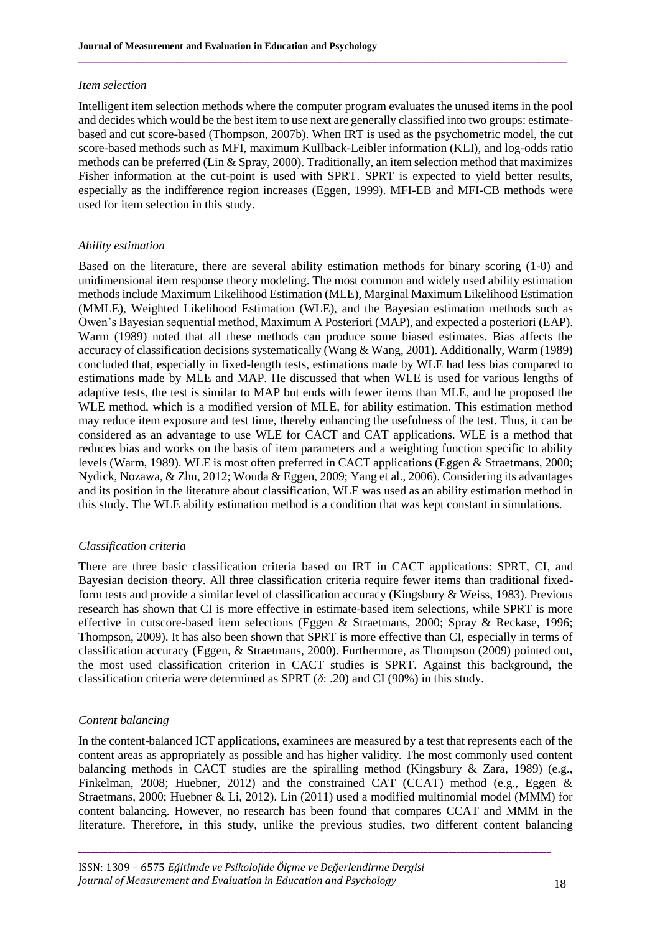#### *Item selection*

Intelligent item selection methods where the computer program evaluates the unused items in the pool and decides which would be the best item to use next are generally classified into two groups: estimatebased and cut score-based (Thompson, 2007b). When IRT is used as the psychometric model, the cut score-based methods such as MFI, maximum Kullback-Leibler information (KLI), and log-odds ratio methods can be preferred (Lin & Spray, 2000). Traditionally, an item selection method that maximizes Fisher information at the cut-point is used with SPRT. SPRT is expected to yield better results, especially as the indifference region increases (Eggen, 1999). MFI-EB and MFI-CB methods were used for item selection in this study.

 $\_$  , and the state of the state of the state of the state of the state of the state of the state of the state of the state of the state of the state of the state of the state of the state of the state of the state of the

## *Ability estimation*

Based on the literature, there are several ability estimation methods for binary scoring (1-0) and unidimensional item response theory modeling. The most common and widely used ability estimation methods include Maximum Likelihood Estimation (MLE), Marginal Maximum Likelihood Estimation (MMLE), Weighted Likelihood Estimation (WLE), and the Bayesian estimation methods such as Owen's Bayesian sequential method, Maximum A Posteriori (MAP), and expected a posteriori (EAP). Warm (1989) noted that all these methods can produce some biased estimates. Bias affects the accuracy of classification decisions systematically (Wang & Wang, 2001). Additionally, Warm (1989) concluded that, especially in fixed-length tests, estimations made by WLE had less bias compared to estimations made by MLE and MAP. He discussed that when WLE is used for various lengths of adaptive tests, the test is similar to MAP but ends with fewer items than MLE, and he proposed the WLE method, which is a modified version of MLE, for ability estimation. This estimation method may reduce item exposure and test time, thereby enhancing the usefulness of the test. Thus, it can be considered as an advantage to use WLE for CACT and CAT applications. WLE is a method that reduces bias and works on the basis of item parameters and a weighting function specific to ability levels (Warm, 1989). WLE is most often preferred in CACT applications (Eggen & Straetmans, 2000; Nydick, Nozawa, & Zhu, 2012; Wouda & Eggen, 2009; Yang et al., 2006). Considering its advantages and its position in the literature about classification, WLE was used as an ability estimation method in this study. The WLE ability estimation method is a condition that was kept constant in simulations.

## *Classification criteria*

There are three basic classification criteria based on IRT in CACT applications: SPRT, CI, and Bayesian decision theory. All three classification criteria require fewer items than traditional fixedform tests and provide a similar level of classification accuracy (Kingsbury & Weiss, 1983). Previous research has shown that CI is more effective in estimate-based item selections, while SPRT is more effective in cutscore-based item selections (Eggen & Straetmans, 2000; Spray & Reckase, 1996; Thompson, 2009). It has also been shown that SPRT is more effective than CI, especially in terms of classification accuracy (Eggen, & Straetmans, 2000). Furthermore, as Thompson (2009) pointed out, the most used classification criterion in CACT studies is SPRT. Against this background, the classification criteria were determined as SPRT  $(\delta$ : .20) and CI (90%) in this study.

## *Content balancing*

In the content-balanced ICT applications, examinees are measured by a test that represents each of the content areas as appropriately as possible and has higher validity. The most commonly used content balancing methods in CACT studies are the spiralling method (Kingsbury & Zara, 1989) (e.g., Finkelman, 2008; Huebner, 2012) and the constrained CAT (CCAT) method (e.g., Eggen & Straetmans, 2000; Huebner & Li, 2012). Lin (2011) used a modified multinomial model (MMM) for content balancing. However, no research has been found that compares CCAT and MMM in the literature. Therefore, in this study, unlike the previous studies, two different content balancing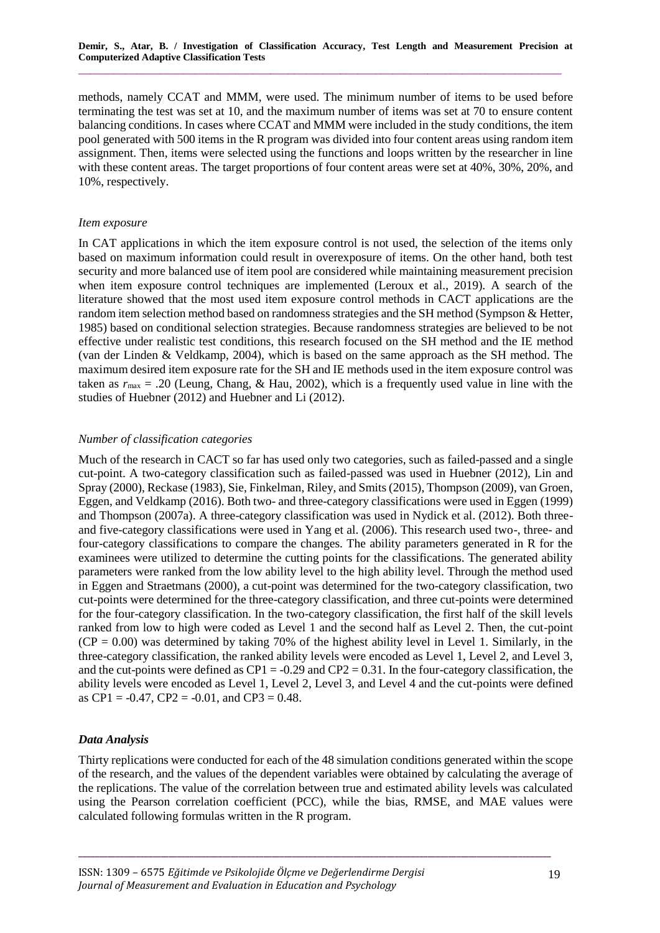methods, namely CCAT and MMM, were used. The minimum number of items to be used before terminating the test was set at 10, and the maximum number of items was set at 70 to ensure content balancing conditions. In cases where CCAT and MMM were included in the study conditions, the item pool generated with 500 items in the R program was divided into four content areas using random item assignment. Then, items were selected using the functions and loops written by the researcher in line with these content areas. The target proportions of four content areas were set at 40%, 30%, 20%, and 10%, respectively.

# *Item exposure*

In CAT applications in which the item exposure control is not used, the selection of the items only based on maximum information could result in overexposure of items. On the other hand, both test security and more balanced use of item pool are considered while maintaining measurement precision when item exposure control techniques are implemented (Leroux et al., 2019). A search of the literature showed that the most used item exposure control methods in CACT applications are the random item selection method based on randomness strategies and the SH method (Sympson & Hetter, 1985) based on conditional selection strategies. Because randomness strategies are believed to be not effective under realistic test conditions, this research focused on the SH method and the IE method (van der Linden & Veldkamp, 2004), which is based on the same approach as the SH method. The maximum desired item exposure rate for the SH and IE methods used in the item exposure control was taken as  $r_{\text{max}} = .20$  (Leung, Chang, & Hau, 2002), which is a frequently used value in line with the studies of Huebner (2012) and Huebner and Li (2012).

# *Number of classification categories*

Much of the research in CACT so far has used only two categories, such as failed-passed and a single cut-point. A two-category classification such as failed-passed was used in Huebner (2012), Lin and Spray (2000), Reckase (1983), Sie, Finkelman, Riley, and Smits (2015), Thompson (2009), van Groen, Eggen, and Veldkamp (2016). Both two- and three-category classifications were used in Eggen (1999) and Thompson (2007a). A three-category classification was used in Nydick et al. (2012). Both threeand five-category classifications were used in Yang et al. (2006). This research used two-, three- and four-category classifications to compare the changes. The ability parameters generated in R for the examinees were utilized to determine the cutting points for the classifications. The generated ability parameters were ranked from the low ability level to the high ability level. Through the method used in Eggen and Straetmans (2000), a cut-point was determined for the two-category classification, two cut-points were determined for the three-category classification, and three cut-points were determined for the four-category classification. In the two-category classification, the first half of the skill levels ranked from low to high were coded as Level 1 and the second half as Level 2. Then, the cut-point  $(CP = 0.00)$  was determined by taking 70% of the highest ability level in Level 1. Similarly, in the three-category classification, the ranked ability levels were encoded as Level 1, Level 2, and Level 3, and the cut-points were defined as  $CP1 = -0.29$  and  $CP2 = 0.31$ . In the four-category classification, the ability levels were encoded as Level 1, Level 2, Level 3, and Level 4 and the cut-points were defined as CP1 =  $-0.47$ , CP2 =  $-0.01$ , and CP3 = 0.48.

# *Data Analysis*

Thirty replications were conducted for each of the 48 simulation conditions generated within the scope of the research, and the values of the dependent variables were obtained by calculating the average of the replications. The value of the correlation between true and estimated ability levels was calculated using the Pearson correlation coefficient (PCC), while the bias, RMSE, and MAE values were calculated following formulas written in the R program.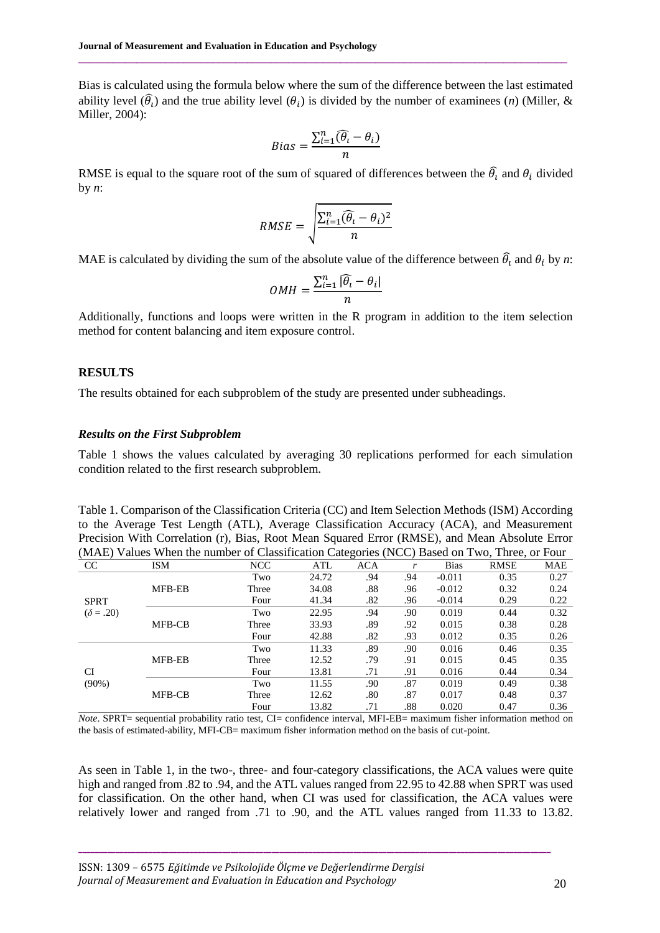Bias is calculated using the formula below where the sum of the difference between the last estimated ability level  $(\hat{\theta}_l)$  and the true ability level  $(\theta_i)$  is divided by the number of examinees (*n*) (Miller, & Miller, 2004):

 $\_$  , and the state of the state of the state of the state of the state of the state of the state of the state of the state of the state of the state of the state of the state of the state of the state of the state of the

$$
Bias = \frac{\sum_{i=1}^{n} (\widehat{\theta}_i - \theta_i)}{n}
$$

RMSE is equal to the square root of the sum of squared of differences between the  $\hat{\theta}_l$  and  $\theta_i$  divided by *n*:

$$
RMSE = \sqrt{\frac{\sum_{i=1}^{n} (\widehat{\theta}_{i} - \theta_{i})^{2}}{n}}
$$

MAE is calculated by dividing the sum of the absolute value of the difference between  $\widehat{\theta}_l$  and  $\theta_i$  by *n*:

$$
OMH = \frac{\sum_{i=1}^{n} |\widehat{\theta_i} - \theta_i|}{n}
$$

Additionally, functions and loops were written in the R program in addition to the item selection method for content balancing and item exposure control.

#### **RESULTS**

The results obtained for each subproblem of the study are presented under subheadings.

#### *Results on the First Subproblem*

Table 1 shows the values calculated by averaging 30 replications performed for each simulation condition related to the first research subproblem.

Table 1. Comparison of the Classification Criteria (CC) and Item Selection Methods (ISM) According to the Average Test Length (ATL), Average Classification Accuracy (ACA), and Measurement Precision With Correlation (r), Bias, Root Mean Squared Error (RMSE), and Mean Absolute Error (MAE) Values When the number of Classification Categories (NCC) Based on Two, Three, or Four

| CC               | ISM    | NCC   | ATL   | <b>ACA</b> | r   | <b>Bias</b> | <b>RMSE</b> | MAE  |
|------------------|--------|-------|-------|------------|-----|-------------|-------------|------|
|                  |        | Two   | 24.72 | .94        | .94 | $-0.011$    | 0.35        | 0.27 |
|                  | MFB-EB | Three | 34.08 | .88        | .96 | $-0.012$    | 0.32        | 0.24 |
| <b>SPRT</b>      |        | Four  | 41.34 | .82        | .96 | $-0.014$    | 0.29        | 0.22 |
| $(\delta = .20)$ |        | Two   | 22.95 | .94        | .90 | 0.019       | 0.44        | 0.32 |
|                  | MFB-CB | Three | 33.93 | .89        | .92 | 0.015       | 0.38        | 0.28 |
|                  |        | Four  | 42.88 | .82        | .93 | 0.012       | 0.35        | 0.26 |
|                  |        | Two   | 11.33 | .89        | .90 | 0.016       | 0.46        | 0.35 |
|                  | MFB-EB | Three | 12.52 | .79        | .91 | 0.015       | 0.45        | 0.35 |
| <b>CI</b>        |        | Four  | 13.81 | .71        | .91 | 0.016       | 0.44        | 0.34 |
| $(90\%)$         |        | Two   | 11.55 | .90        | .87 | 0.019       | 0.49        | 0.38 |
|                  | MFB-CB | Three | 12.62 | .80        | .87 | 0.017       | 0.48        | 0.37 |
|                  |        | Four  | 13.82 | .71        | .88 | 0.020       | 0.47        | 0.36 |

*Note*. SPRT= sequential probability ratio test, CI= confidence interval, MFI-EB= maximum fisher information method on the basis of estimated-ability, MFI-CB= maximum fisher information method on the basis of cut-point.

As seen in Table 1, in the two-, three- and four-category classifications, the ACA values were quite high and ranged from .82 to .94, and the ATL values ranged from 22.95 to 42.88 when SPRT was used for classification. On the other hand, when CI was used for classification, the ACA values were relatively lower and ranged from .71 to .90, and the ATL values ranged from 11.33 to 13.82.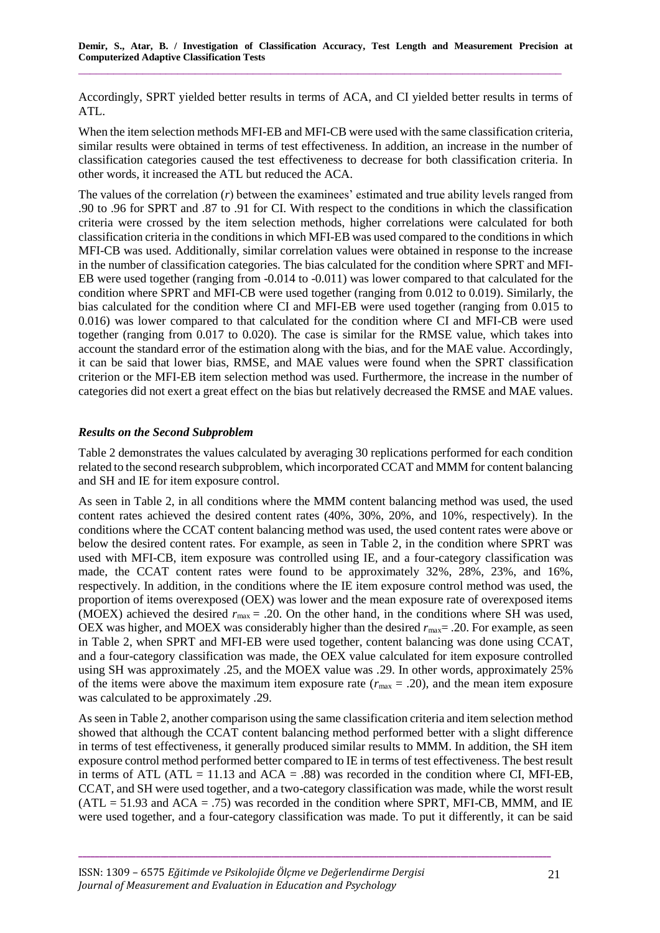Accordingly, SPRT yielded better results in terms of ACA, and CI yielded better results in terms of ATL.

When the item selection methods MFI-EB and MFI-CB were used with the same classification criteria, similar results were obtained in terms of test effectiveness. In addition, an increase in the number of classification categories caused the test effectiveness to decrease for both classification criteria. In other words, it increased the ATL but reduced the ACA.

The values of the correlation (*r*) between the examinees' estimated and true ability levels ranged from .90 to .96 for SPRT and .87 to .91 for CI. With respect to the conditions in which the classification criteria were crossed by the item selection methods, higher correlations were calculated for both classification criteria in the conditions in which MFI-EB was used compared to the conditions in which MFI-CB was used. Additionally, similar correlation values were obtained in response to the increase in the number of classification categories. The bias calculated for the condition where SPRT and MFI-EB were used together (ranging from -0.014 to -0.011) was lower compared to that calculated for the condition where SPRT and MFI-CB were used together (ranging from 0.012 to 0.019). Similarly, the bias calculated for the condition where CI and MFI-EB were used together (ranging from 0.015 to 0.016) was lower compared to that calculated for the condition where CI and MFI-CB were used together (ranging from 0.017 to 0.020). The case is similar for the RMSE value, which takes into account the standard error of the estimation along with the bias, and for the MAE value. Accordingly, it can be said that lower bias, RMSE, and MAE values were found when the SPRT classification criterion or the MFI-EB item selection method was used. Furthermore, the increase in the number of categories did not exert a great effect on the bias but relatively decreased the RMSE and MAE values.

# *Results on the Second Subproblem*

Table 2 demonstrates the values calculated by averaging 30 replications performed for each condition related to the second research subproblem, which incorporated CCAT and MMM for content balancing and SH and IE for item exposure control.

As seen in Table 2, in all conditions where the MMM content balancing method was used, the used content rates achieved the desired content rates (40%, 30%, 20%, and 10%, respectively). In the conditions where the CCAT content balancing method was used, the used content rates were above or below the desired content rates. For example, as seen in Table 2, in the condition where SPRT was used with MFI-CB, item exposure was controlled using IE, and a four-category classification was made, the CCAT content rates were found to be approximately 32%, 28%, 23%, and 16%, respectively. In addition, in the conditions where the IE item exposure control method was used, the proportion of items overexposed (OEX) was lower and the mean exposure rate of overexposed items (MOEX) achieved the desired  $r_{\text{max}} = .20$ . On the other hand, in the conditions where SH was used, OEX was higher, and MOEX was considerably higher than the desired  $r_{\text{max}}$  = .20. For example, as seen in Table 2, when SPRT and MFI-EB were used together, content balancing was done using CCAT, and a four-category classification was made, the OEX value calculated for item exposure controlled using SH was approximately .25, and the MOEX value was .29. In other words, approximately 25% of the items were above the maximum item exposure rate  $(r_{\text{max}} = .20)$ , and the mean item exposure was calculated to be approximately .29.

As seen in Table 2, another comparison using the same classification criteria and item selection method showed that although the CCAT content balancing method performed better with a slight difference in terms of test effectiveness, it generally produced similar results to MMM. In addition, the SH item exposure control method performed better compared to IE in terms of test effectiveness. The best result in terms of ATL (ATL = 11.13 and ACA = .88) was recorded in the condition where CI, MFI-EB, CCAT, and SH were used together, and a two-category classification was made, while the worst result  $(ATL = 51.93$  and  $ACA = .75)$  was recorded in the condition where SPRT, MFI-CB, MMM, and IE were used together, and a four-category classification was made. To put it differently, it can be said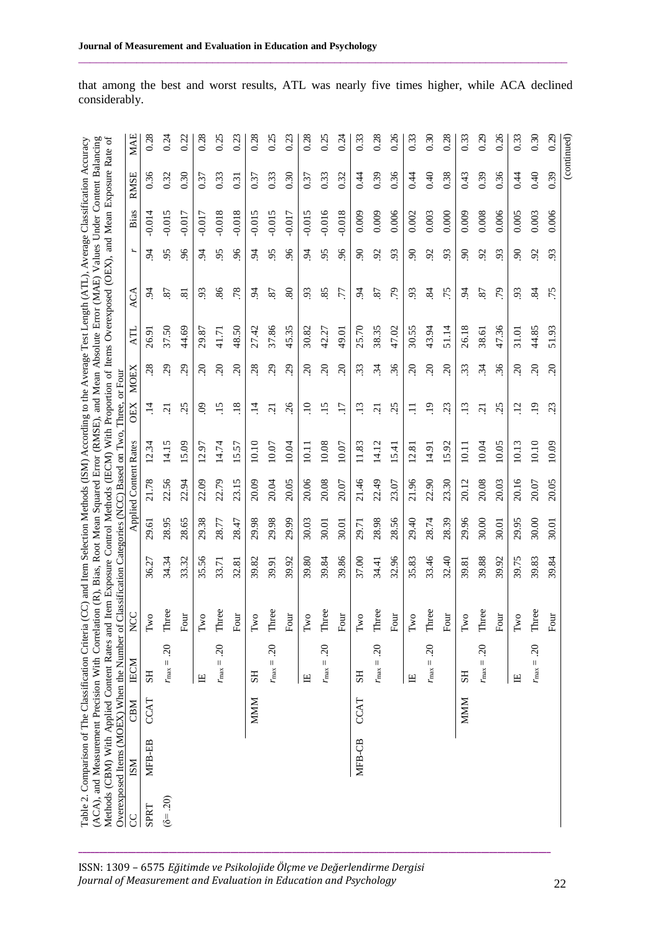|             |        |             | (ACA), and Measurement Precision With Correlation (R), Bias, Root Mean Squared Error (RMSE), and Mean Absolute Error (MAE) Values Under Content Balancing<br>Methods (CBM) With Applied Content Rates and Item Exposure Control Methods (IECM) With Proportion of Items Overexposed (OEX), and Mean Exposure Rate of<br>Overexposed Items (MOEX) When the Number of<br>Table 2. Comparison of The Classification Criteria |                           |       |       |                              | (CC) and Item Selection Methods (ISM) According to the Average Test Length (ATL), Average Classification Accuracy<br>Classification Categories (NCC) Based on Two, Three, |                 | or Four        |       |                     |                           |          |             |             |
|-------------|--------|-------------|---------------------------------------------------------------------------------------------------------------------------------------------------------------------------------------------------------------------------------------------------------------------------------------------------------------------------------------------------------------------------------------------------------------------------|---------------------------|-------|-------|------------------------------|---------------------------------------------------------------------------------------------------------------------------------------------------------------------------|-----------------|----------------|-------|---------------------|---------------------------|----------|-------------|-------------|
| <b>SC</b>   | ISM    | CBM         | IECM                                                                                                                                                                                                                                                                                                                                                                                                                      | <b>NCC</b>                |       |       | <b>Applied Content Rates</b> |                                                                                                                                                                           | OEX             | <b>MOEX</b>    | ZЕ    | ACA                 | $\overline{\phantom{a}}$  | Bias     | <b>RMSE</b> | MAE         |
| <b>SPRT</b> | MFB-EB | <b>CCAT</b> | ES                                                                                                                                                                                                                                                                                                                                                                                                                        | $\tilde{\mathbf{Q}}$<br>Ě | 36.27 | 29.61 | 21.78                        | 12.34                                                                                                                                                                     | ゴ               | 28             | 26.91 | $\ddot{5}$          | 54                        | $-0.014$ | 0.36        | 0.28        |
| $(6 - .20)$ |        |             | $r_{\text{max}} = .20$                                                                                                                                                                                                                                                                                                                                                                                                    | Three                     | 34.34 | 28.95 | 22.56                        | 14.15                                                                                                                                                                     | $\overline{c}$  | 29             | 37.50 | 87                  | 95                        | $-0.015$ | 0.32        | 0.24        |
|             |        |             |                                                                                                                                                                                                                                                                                                                                                                                                                           | Four                      | 33.32 | 28.65 | 22.94                        | 15.09                                                                                                                                                                     | 25              | 29             | 44.69 | $\overline{8}$      | $\overline{6}$            | $-0.017$ | 0.30        | 0.22        |
|             |        |             | $\mathbb{H}$                                                                                                                                                                                                                                                                                                                                                                                                              | $_{\rm Two}$              | 35.56 | 29.38 | 22.09                        | 12.97                                                                                                                                                                     | $\odot$         | $\Omega$       | 29.87 | 93                  | $\dot{5}$                 | $-0.017$ | 0.37        | 0.28        |
|             |        |             | $r_{\text{max}} = .20$                                                                                                                                                                                                                                                                                                                                                                                                    | Three                     | 33.71 | 28.77 | 22.79                        | 14.74                                                                                                                                                                     | $\ddot{5}$      | $\overline{c}$ | 41.71 | 86                  | 95                        | $-0.018$ | 0.33        | 0.25        |
|             |        |             |                                                                                                                                                                                                                                                                                                                                                                                                                           | $_{\rm Four}$             | 32.81 | 28.47 | 23.15                        | 15.57                                                                                                                                                                     | .18             | $\overline{c}$ | 48.50 | .78                 | $\overline{6}$            | $-0.018$ | 0.31        | 0.23        |
|             |        | MMM         | <b>HS</b>                                                                                                                                                                                                                                                                                                                                                                                                                 | $_{\rm Two}$              | 39.82 | 29.98 | 20.09                        | 10.10                                                                                                                                                                     | $\ddot{=}$      | 28             | 27.42 | $\ddot{5}$          | $\dot{5}$                 | $-0.015$ | 0.37        | 0.28        |
|             |        |             | $r_{\text{max}} = .20$                                                                                                                                                                                                                                                                                                                                                                                                    | Three                     | 39.91 | 29.98 | 20.04                        | 10.07                                                                                                                                                                     | $\ddot{5}$      | 29             | 37.86 | 87                  | 95                        | $-0.015$ | 0.33        | 0.25        |
|             |        |             |                                                                                                                                                                                                                                                                                                                                                                                                                           | Four                      | 39.92 | 29.99 | 20.05                        | 10.04                                                                                                                                                                     | 26              | 29             | 45.35 | 80                  | $\widetilde{6}$           | $-0.017$ | 0.30        | 0.23        |
|             |        |             | $\mathbb{H}$                                                                                                                                                                                                                                                                                                                                                                                                              | ŏ<br>Ě                    | 39.80 | 30.03 | 20.06                        | 10.11                                                                                                                                                                     | $\ddot{=}$      | $\overline{c}$ | 30.82 | 93                  | $\dot{5}$                 | $-0.015$ | 0.37        | 0.28        |
|             |        |             | $r_{\text{max}} = .20$                                                                                                                                                                                                                                                                                                                                                                                                    | Three                     | 39.84 | 30.01 | 20.08                        | 10.08                                                                                                                                                                     | $\ddot{15}$     | $\overline{c}$ | 42.27 | 85                  | 95                        | $-0.016$ | 0.33        | 0.25        |
|             |        |             |                                                                                                                                                                                                                                                                                                                                                                                                                           | Four                      | 39.86 | 30.01 | 20.07                        | 10.07                                                                                                                                                                     | $\overline{17}$ | $\overline{c}$ | 49.01 | 77                  | $\widetilde{\mathcal{S}}$ | $-0.018$ | 0.32        | 0.24        |
|             | MFB-CB | CCAT        | <b>HS</b>                                                                                                                                                                                                                                                                                                                                                                                                                 | $\mathsf{Q}$<br>Ě         | 37.00 | 29.71 | 21.46                        | 11.83                                                                                                                                                                     | $\ddot{13}$     | 33             | 25.70 | 5.                  | $\mathcal{S}$             | 0.009    | 0.44        | 0.33        |
|             |        |             | $r_{\text{max}} = .20$                                                                                                                                                                                                                                                                                                                                                                                                    | Three                     | 34.41 | 28.98 | 22.49                        | 14.12                                                                                                                                                                     | $\overline{c}$  | $\ddot{3}$     | 38.35 | 87                  | $\tilde{\mathcal{S}}$     | 0.009    | 0.39        | 0.28        |
|             |        |             |                                                                                                                                                                                                                                                                                                                                                                                                                           | Four                      | 32.96 | 28.56 | 23.07                        | 15.41                                                                                                                                                                     | 25              | 36             | 47.02 | $\overline{7}9$     | 93                        | 0.006    | 0.36        | 0.26        |
|             |        |             | $\mathbb{H}$                                                                                                                                                                                                                                                                                                                                                                                                              | $\operatorname{Two}$      | 35.83 | 29.40 | 21.96                        | 12.81                                                                                                                                                                     | Ξ               | $\mathcal{S}$  | 30.55 | 93                  | $\mathcal{S}$             | 0.002    | 0.44        | 0.33        |
|             |        |             | $r_{\rm max} = .20$                                                                                                                                                                                                                                                                                                                                                                                                       | Three                     | 33.46 | 28.74 | 22.90                        | 14.91                                                                                                                                                                     | $\ddot{ }$      | $\overline{c}$ | 43.94 | $\ddot{\mathbf{8}}$ | 92                        | 0.003    | 0.40        | 0.30        |
|             |        |             |                                                                                                                                                                                                                                                                                                                                                                                                                           | Four                      | 32.40 | 28.39 | 23.30                        | 15.92                                                                                                                                                                     | 23              | $\overline{c}$ | 51.14 | .75                 | 93                        | 0.000    | 0.38        | 0.28        |
|             |        | MMM         | ES                                                                                                                                                                                                                                                                                                                                                                                                                        | $_{\rm Two}$              | 39.81 | 29.96 | 20.12                        | 10.11                                                                                                                                                                     | $\ddot{13}$     | 33             | 26.18 | $\dot{5}$           | S.                        | 0.009    | 0.43        | 0.33        |
|             |        |             | 20<br>$r_{\text{max}} =$ .                                                                                                                                                                                                                                                                                                                                                                                                | Three                     | 39.88 | 30.00 | 20.08                        | 10.04                                                                                                                                                                     | $\ddot{5}$      | $\ddot{3}$     | 38.61 | 87                  | $\tilde{\mathcal{S}}$     | 0.008    | 0.39        | 0.29        |
|             |        |             |                                                                                                                                                                                                                                                                                                                                                                                                                           | Four                      | 39.92 | 30.01 | 20.03                        | 10.05                                                                                                                                                                     | 25              | $\mathfrak{L}$ | 47.36 | 50                  | 93                        | 0.006    | 0.36        | 0.26        |
|             |        |             | $\mathbb{H}$                                                                                                                                                                                                                                                                                                                                                                                                              | $\operatorname{Two}$      | 39.75 | 29.95 | 20.16                        | 10.13                                                                                                                                                                     | $\ddot{5}$      | $\mathcal{S}$  | 31.01 | 93                  | S.                        | 0.005    | 6.4         | 0.33        |
|             |        |             | $r_{\rm max} = .20$                                                                                                                                                                                                                                                                                                                                                                                                       | Three                     | 39.83 | 30.00 | 20.07                        | 10.10                                                                                                                                                                     | $\ddot{.}$      | $\overline{c}$ | 44.85 | $\ddot{\mathbf{8}}$ | $\tilde{\mathcal{S}}$     | 0.003    | 0.40        | 0.30        |
|             |        |             |                                                                                                                                                                                                                                                                                                                                                                                                                           | Four                      | 39.84 | 30.01 | 20.05                        | 10.09                                                                                                                                                                     | 23              | $\overline{c}$ | 51.93 | .75                 | 93                        | 0.006    | 0.39        | 0.29        |
|             |        |             |                                                                                                                                                                                                                                                                                                                                                                                                                           |                           |       |       |                              |                                                                                                                                                                           |                 |                |       |                     |                           |          |             | (continued) |

that among the best and worst results, ATL was nearly five times higher, while ACA declined considerably.

 $\_$  , and the state of the state of the state of the state of the state of the state of the state of the state of the state of the state of the state of the state of the state of the state of the state of the state of the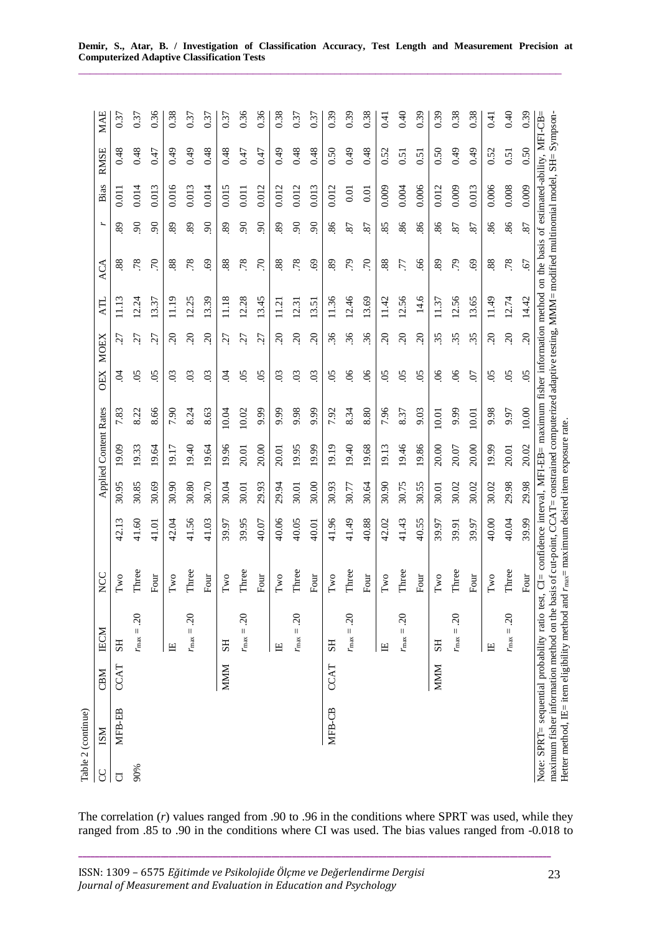|                | Table 2 (continue) |             |                                                                                                                                                  |                                                                                                                                                                           |                                                                                                                  |       |                              |       |                |                |       |                 |               |       |             |      |
|----------------|--------------------|-------------|--------------------------------------------------------------------------------------------------------------------------------------------------|---------------------------------------------------------------------------------------------------------------------------------------------------------------------------|------------------------------------------------------------------------------------------------------------------|-------|------------------------------|-------|----------------|----------------|-------|-----------------|---------------|-------|-------------|------|
| g              | <b>NSI</b>         | CBM         | <b>IECM</b>                                                                                                                                      | NCC                                                                                                                                                                       |                                                                                                                  |       | <b>Applied Content Rates</b> |       | OEX            | <b>MOEX</b>    | ATL   | ACA             | r             | Bias  | <b>RMSE</b> | MAE  |
| $\overline{C}$ | MFB-EB             | CCAT        | <b>SH</b>                                                                                                                                        | $_{\rm Iwo}$                                                                                                                                                              | 42.13                                                                                                            | 30.95 | 19.09                        | 7.83  | Ś              | 27             | 11.13 | 88              | 89            | 0.011 | 0.48        | 0.37 |
| 90%            |                    |             | $r_{\text{max}} = .20$                                                                                                                           | Three                                                                                                                                                                     | 41.60                                                                                                            | 30.85 | 19.33                        | 8.22  | $\overline{0}$ | 27             | 12.24 | .78             | $\mathcal{S}$ | 0.014 | 0.48        | 0.37 |
|                |                    |             |                                                                                                                                                  | Four                                                                                                                                                                      | 41.01                                                                                                            | 30.69 | 19.64                        | 8.66  | $\overline{0}$ | 27             | 13.37 | $\overline{C}$  | $\mathcal{S}$ | 0.013 | 0.47        | 0.36 |
|                |                    |             | $\mathbb{H}$                                                                                                                                     | $\mathbf{Iw}$                                                                                                                                                             | 42.04                                                                                                            | 30.90 | 19.17                        | 7.90  | $\overline{0}$ | $\overline{c}$ | 11.19 | $88\,$          | 89            | 0.016 | 64.0        | 0.38 |
|                |                    |             | $\overline{c}$ .<br>$r_{\text{max}} =$ .                                                                                                         | Three                                                                                                                                                                     | 41.56                                                                                                            | 30.80 | 19.40                        | 8.24  | $\overline{0}$ | $\overline{c}$ | 12.25 | .78             | 89            | 0.013 | 64.0        | 0.37 |
|                |                    |             |                                                                                                                                                  | Four                                                                                                                                                                      | 41.03                                                                                                            | 30.70 | 19.64                        | 8.63  | $\overline{0}$ | $\Omega$       | 13.39 | 69              | $\mathcal{S}$ | 0.014 | 0.48        | 0.37 |
|                |                    | <b>MMM</b>  | HS                                                                                                                                               | $\mathbf{Iw}\mathbf{o}$                                                                                                                                                   | 39.97                                                                                                            | 30.04 | 19.96                        | 10.04 | Ś              | 27             | 11.18 | 88              | 89            | 0.015 | 0.48        | 0.37 |
|                |                    |             | $\overline{c}$ .<br>$r_{\text{max}} =$ .                                                                                                         | Three                                                                                                                                                                     | 39.95                                                                                                            | 30.01 | 20.01                        | 10.02 | 65             | 27             | 12.28 | .78             | $\mathcal{S}$ | 0.011 | 0.47        | 0.36 |
|                |                    |             |                                                                                                                                                  | Four                                                                                                                                                                      | 40.07                                                                                                            | 29.93 | 20.00                        | 9.99  | 05             | 27             | 13.45 | $\overline{70}$ | $\mathcal{S}$ | 0.012 | 0.47        | 0.36 |
|                |                    |             | $\mathbf{H}$                                                                                                                                     | $\mathbf{Iw}\mathbf{o}$                                                                                                                                                   | 40.06                                                                                                            | 29.94 | 20.01                        | 9.99  | $\overline{0}$ | $\overline{c}$ | 11.21 | 88              | 89            | 0.012 | 64.0        | 0.38 |
|                |                    |             | $\overline{c}$<br>$r_{\text{max}} =$ .                                                                                                           | Three                                                                                                                                                                     | 40.05                                                                                                            | 30.01 | 19.95                        | 9.98  | $\overline{0}$ | $\overline{c}$ | 12.31 | .78             | $\mathcal{S}$ | 0.012 | 0.48        | 0.37 |
|                |                    |             |                                                                                                                                                  | Four                                                                                                                                                                      | 40.01                                                                                                            | 30.00 | 19.99                        | 9.99  | $\overline{0}$ | $\overline{c}$ | 13.51 | 69              | $\mathcal{S}$ | 0.013 | 0.48        | 0.37 |
|                | MFB-CB             | <b>CCAT</b> | <b>HS</b>                                                                                                                                        | $\mathbf{Iw} \mathbf{o}$                                                                                                                                                  | 41.96                                                                                                            | 30.93 | 19.19                        | 7.92  | $\overline{5}$ | 36             | 11.36 | 89              | 86            | 0.012 | 0.50        | 0.39 |
|                |                    |             | 20<br>$r_{\text{max}} =$ .                                                                                                                       | Three                                                                                                                                                                     | 41.49                                                                                                            | 30.77 | 19.40                        | 8.34  | $\infty$       | 36             | 12.46 | 79              | 87            | 0.01  | 64.0        | 0.39 |
|                |                    |             |                                                                                                                                                  | Four                                                                                                                                                                      | 40.88                                                                                                            | 30.64 | 19.68                        | 8.80  | $\infty$       | 36             | 13.69 | 70              | 87            | 0.01  | 0.48        | 0.38 |
|                |                    |             | $\mathbb{H}$                                                                                                                                     | $_{\rm Two}$                                                                                                                                                              | 42.02                                                                                                            | 30.90 | 19.13                        | 7.96  | 65             | $\overline{c}$ | 11.42 | 88              | 85            | 0.009 | 0.52        | 0.41 |
|                |                    |             | $\overline{c}$<br>$r_{\text{max}} =$ .                                                                                                           | Three                                                                                                                                                                     | 41.43                                                                                                            | 30.75 | 19.46                        | 8.37  | $\overline{5}$ | $\overline{c}$ | 12.56 | 77              | 86            | 0.004 | 0.51        | 0.40 |
|                |                    |             |                                                                                                                                                  | Four                                                                                                                                                                      | 40.55                                                                                                            | 30.55 | 19.86                        | 9.03  | $\overline{0}$ | $\overline{c}$ | 14.6  | 66              | 86            | 0.006 | 0.51        | 0.39 |
|                |                    | MMM         | <b>SH</b>                                                                                                                                        | $_{\rm Iwo}$                                                                                                                                                              | 39.97                                                                                                            | 30.01 | 20.00                        | 10.01 | $\infty$       | 35             | 11.37 | 89              | 86            | 0.012 | 0.50        | 0.39 |
|                |                    |             | $\overline{c}$ .<br>$r_{\text{max}} =$ .                                                                                                         | Three                                                                                                                                                                     | 39.91                                                                                                            | 30.02 | 20.07                        | 9.99  | $\mathcal{S}$  | 35             | 12.56 | 79              | 87            | 0.009 | 64.0        | 0.38 |
|                |                    |             |                                                                                                                                                  | Four                                                                                                                                                                      | 39.97                                                                                                            | 30.02 | 20.00                        | 10.01 | $\overline{0}$ | 35             | 13.65 | 69              | 87            | 0.013 | 64.0        | 0.38 |
|                |                    |             | $\mathbb{H}$                                                                                                                                     | $_{\rm Iwo}$                                                                                                                                                              | 40.00                                                                                                            | 30.02 | 19.99                        | 9.98  | $\overline{0}$ | $\overline{c}$ | 11.49 | 88              | 86            | 0.006 | 0.52        | 0.41 |
|                |                    |             | $\overline{c}$<br>$r_{\text{max}} =$ .                                                                                                           | Three                                                                                                                                                                     | 40.04                                                                                                            | 29.98 | 20.01                        | 9.97  | $\overline{0}$ | $\overline{c}$ | 12.74 | .78             | 86            | 0.008 | 0.51        | 0.40 |
|                |                    |             |                                                                                                                                                  | Four                                                                                                                                                                      | 39.99                                                                                                            | 29.98 | 20.02                        | 10.00 | $\overline{0}$ | $\overline{c}$ | 14.42 | 67              | 87            | 0.009 | 0.50        | 0.39 |
|                |                    |             | Note: SPRT= sequential probability ratio test,<br>maximum fisher information method on the bas<br>Hetter method, IE= item eligibility method and | is of cut-point, CCAT= constrained computerized adaptive testing, MMM= modified multinomial model, SH= Sympson-<br>$r_{\text{max}}$ = maximum desired item exposure rate. | $CI =$ confidence interval, MFI-EB= maximum fisher information method on the basis of estimated-ability, MFI-CB= |       |                              |       |                |                |       |                 |               |       |             |      |
|                |                    |             |                                                                                                                                                  |                                                                                                                                                                           |                                                                                                                  |       |                              |       |                |                |       |                 |               |       |             |      |

The correlation (*r*) values ranged from .90 to .96 in the conditions where SPRT was used, while they ranged from .85 to .90 in the conditions where CI was used. The bias values ranged from -0.018 to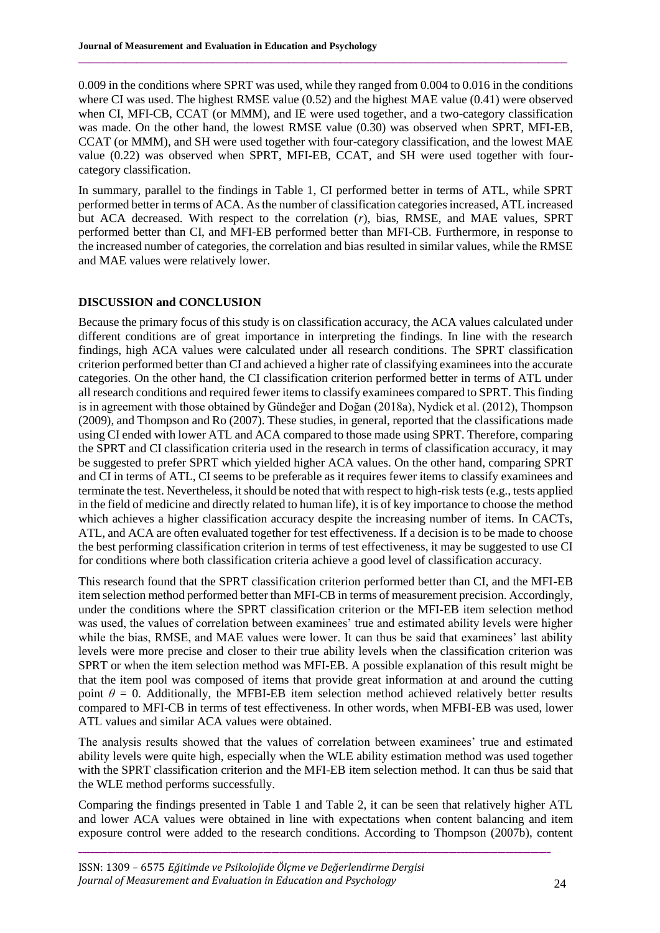0.009 in the conditions where SPRT was used, while they ranged from 0.004 to 0.016 in the conditions where CI was used. The highest RMSE value (0.52) and the highest MAE value (0.41) were observed when CI, MFI-CB, CCAT (or MMM), and IE were used together, and a two-category classification was made. On the other hand, the lowest RMSE value (0.30) was observed when SPRT, MFI-EB, CCAT (or MMM), and SH were used together with four-category classification, and the lowest MAE value (0.22) was observed when SPRT, MFI-EB, CCAT, and SH were used together with fourcategory classification.

 $\_$  , and the state of the state of the state of the state of the state of the state of the state of the state of the state of the state of the state of the state of the state of the state of the state of the state of the

In summary, parallel to the findings in Table 1, CI performed better in terms of ATL, while SPRT performed better in terms of ACA. As the number of classification categories increased, ATL increased but ACA decreased. With respect to the correlation (*r*), bias, RMSE, and MAE values, SPRT performed better than CI, and MFI-EB performed better than MFI-CB. Furthermore, in response to the increased number of categories, the correlation and bias resulted in similar values, while the RMSE and MAE values were relatively lower.

## **DISCUSSION and CONCLUSION**

Because the primary focus of this study is on classification accuracy, the ACA values calculated under different conditions are of great importance in interpreting the findings. In line with the research findings, high ACA values were calculated under all research conditions. The SPRT classification criterion performed better than CI and achieved a higher rate of classifying examinees into the accurate categories. On the other hand, the CI classification criterion performed better in terms of ATL under all research conditions and required fewer items to classify examinees compared to SPRT. This finding is in agreement with those obtained by Gündeğer and Doğan (2018a), Nydick et al. (2012), Thompson (2009), and Thompson and Ro (2007). These studies, in general, reported that the classifications made using CI ended with lower ATL and ACA compared to those made using SPRT. Therefore, comparing the SPRT and CI classification criteria used in the research in terms of classification accuracy, it may be suggested to prefer SPRT which yielded higher ACA values. On the other hand, comparing SPRT and CI in terms of ATL, CI seems to be preferable as it requires fewer items to classify examinees and terminate the test. Nevertheless, it should be noted that with respect to high-risk tests (e.g., tests applied in the field of medicine and directly related to human life), it is of key importance to choose the method which achieves a higher classification accuracy despite the increasing number of items. In CACTs, ATL, and ACA are often evaluated together for test effectiveness. If a decision is to be made to choose the best performing classification criterion in terms of test effectiveness, it may be suggested to use CI for conditions where both classification criteria achieve a good level of classification accuracy.

This research found that the SPRT classification criterion performed better than CI, and the MFI-EB item selection method performed better than MFI-CB in terms of measurement precision. Accordingly, under the conditions where the SPRT classification criterion or the MFI-EB item selection method was used, the values of correlation between examinees' true and estimated ability levels were higher while the bias, RMSE, and MAE values were lower. It can thus be said that examinees' last ability levels were more precise and closer to their true ability levels when the classification criterion was SPRT or when the item selection method was MFI-EB. A possible explanation of this result might be that the item pool was composed of items that provide great information at and around the cutting point  $\theta = 0$ . Additionally, the MFBI-EB item selection method achieved relatively better results compared to MFI-CB in terms of test effectiveness. In other words, when MFBI-EB was used, lower ATL values and similar ACA values were obtained.

The analysis results showed that the values of correlation between examinees' true and estimated ability levels were quite high, especially when the WLE ability estimation method was used together with the SPRT classification criterion and the MFI-EB item selection method. It can thus be said that the WLE method performs successfully.

Comparing the findings presented in Table 1 and Table 2, it can be seen that relatively higher ATL and lower ACA values were obtained in line with expectations when content balancing and item exposure control were added to the research conditions. According to Thompson (2007b), content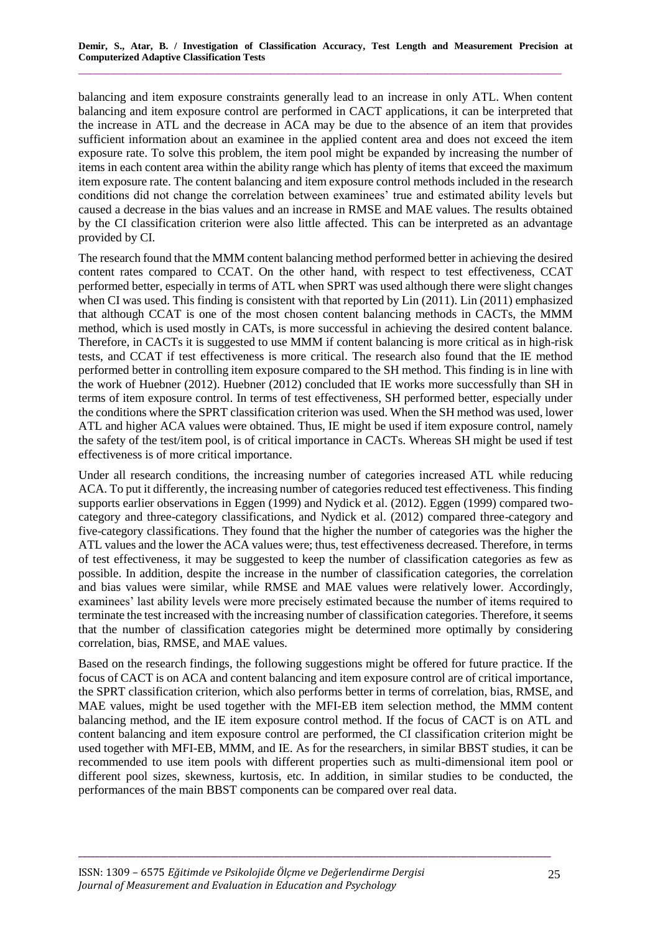balancing and item exposure constraints generally lead to an increase in only ATL. When content balancing and item exposure control are performed in CACT applications, it can be interpreted that the increase in ATL and the decrease in ACA may be due to the absence of an item that provides sufficient information about an examinee in the applied content area and does not exceed the item exposure rate. To solve this problem, the item pool might be expanded by increasing the number of items in each content area within the ability range which has plenty of items that exceed the maximum item exposure rate. The content balancing and item exposure control methods included in the research conditions did not change the correlation between examinees' true and estimated ability levels but caused a decrease in the bias values and an increase in RMSE and MAE values. The results obtained by the CI classification criterion were also little affected. This can be interpreted as an advantage provided by CI.

The research found that the MMM content balancing method performed better in achieving the desired content rates compared to CCAT. On the other hand, with respect to test effectiveness, CCAT performed better, especially in terms of ATL when SPRT was used although there were slight changes when CI was used. This finding is consistent with that reported by Lin (2011). Lin (2011) emphasized that although CCAT is one of the most chosen content balancing methods in CACTs, the MMM method, which is used mostly in CATs, is more successful in achieving the desired content balance. Therefore, in CACTs it is suggested to use MMM if content balancing is more critical as in high-risk tests, and CCAT if test effectiveness is more critical. The research also found that the IE method performed better in controlling item exposure compared to the SH method. This finding is in line with the work of Huebner (2012). Huebner (2012) concluded that IE works more successfully than SH in terms of item exposure control. In terms of test effectiveness, SH performed better, especially under the conditions where the SPRT classification criterion was used. When the SH method was used, lower ATL and higher ACA values were obtained. Thus, IE might be used if item exposure control, namely the safety of the test/item pool, is of critical importance in CACTs. Whereas SH might be used if test effectiveness is of more critical importance.

Under all research conditions, the increasing number of categories increased ATL while reducing ACA. To put it differently, the increasing number of categories reduced test effectiveness. This finding supports earlier observations in Eggen (1999) and Nydick et al. (2012). Eggen (1999) compared twocategory and three-category classifications, and Nydick et al. (2012) compared three-category and five-category classifications. They found that the higher the number of categories was the higher the ATL values and the lower the ACA values were; thus, test effectiveness decreased. Therefore, in terms of test effectiveness, it may be suggested to keep the number of classification categories as few as possible. In addition, despite the increase in the number of classification categories, the correlation and bias values were similar, while RMSE and MAE values were relatively lower. Accordingly, examinees' last ability levels were more precisely estimated because the number of items required to terminate the test increased with the increasing number of classification categories. Therefore, it seems that the number of classification categories might be determined more optimally by considering correlation, bias, RMSE, and MAE values.

Based on the research findings, the following suggestions might be offered for future practice. If the focus of CACT is on ACA and content balancing and item exposure control are of critical importance, the SPRT classification criterion, which also performs better in terms of correlation, bias, RMSE, and MAE values, might be used together with the MFI-EB item selection method, the MMM content balancing method, and the IE item exposure control method. If the focus of CACT is on ATL and content balancing and item exposure control are performed, the CI classification criterion might be used together with MFI-EB, MMM, and IE. As for the researchers, in similar BBST studies, it can be recommended to use item pools with different properties such as multi-dimensional item pool or different pool sizes, skewness, kurtosis, etc. In addition, in similar studies to be conducted, the performances of the main BBST components can be compared over real data.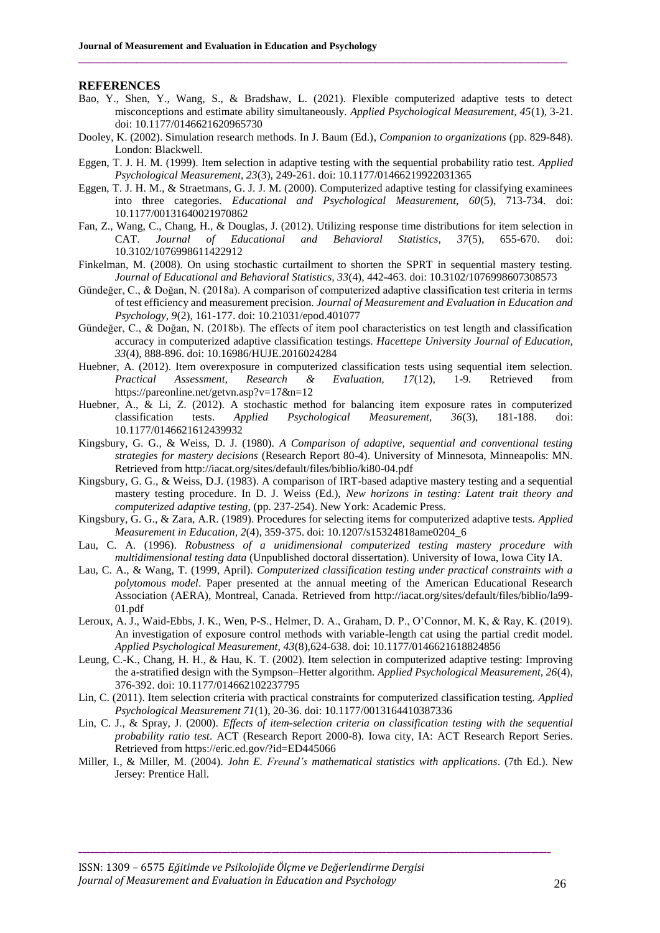#### **REFERENCES**

Bao, Y., Shen, Y., Wang, S., & Bradshaw, L. (2021). Flexible computerized adaptive tests to detect misconceptions and estimate ability simultaneously. *Applied Psychological Measurement, 45*(1)*,* 3-21. doi: 10.1177/0146621620965730

 $\_$  , and the state of the state of the state of the state of the state of the state of the state of the state of the state of the state of the state of the state of the state of the state of the state of the state of the

- Dooley, K. (2002). Simulation research methods. In J. Baum (Ed.), *Companion to organizations* (pp. 829-848). London: Blackwell.
- Eggen, T. J. H. M. (1999). Item selection in adaptive testing with the sequential probability ratio test. *Applied Psychological Measurement, 23*(3)*,* 249-261*.* doi: 10.1177/01466219922031365
- Eggen, T. J. H. M., & Straetmans, G. J. J. M. (2000). Computerized adaptive testing for classifying examinees into three categories. *Educational and Psychological Measurement, 60*(5), 713-734. doi: 10.1177/00131640021970862
- Fan, Z., Wang, C., Chang, H., & Douglas, J. (2012). Utilizing response time distributions for item selection in CAT. *Journal of Educational and Behavioral Statistics, 37*(5), 655-670. doi: 10.3102/1076998611422912
- Finkelman, M. (2008). On using stochastic curtailment to shorten the SPRT in sequential mastery testing. *Journal of Educational and Behavioral Statistics, 33*(4), 442-463. doi: 10.3102/1076998607308573
- Gündeğer, C., & Doğan, N. (2018a). A comparison of computerized adaptive classification test criteria in terms of test efficiency and measurement precision. *Journal of Measurement and Evaluation in Education and Psychology, 9*(2), 161-177. doi: 10.21031/epod.401077
- Gündeğer, C., & Doğan, N. (2018b). The effects of item pool characteristics on test length and classification accuracy in computerized adaptive classification testings. *Hacettepe University Journal of Education, 33*(4), 888-896. doi: 10.16986/HUJE.2016024284
- Huebner, A. (2012). Item overexposure in computerized classification tests using sequential item selection. *Practical Assessment, Research & Evaluation, 17*(12), 1-9*.* Retrieved from https://pareonline.net/getvn.asp?v=17&n=12
- Huebner, A., & Li, Z. (2012). A stochastic method for balancing item exposure rates in computerized classification tests. *Applied Psychological Measurement, 36*(3), 181-188. doi: 10.1177/0146621612439932
- Kingsbury, G. G., & Weiss, D. J. (1980). *A Comparison of adaptive, sequential and conventional testing strategies for mastery decisions* (Research Report 80-4). University of Minnesota, Minneapolis: MN. Retrieved from http://iacat.org/sites/default/files/biblio/ki80-04.pdf
- Kingsbury, G. G., & Weiss, D.J. (1983). A comparison of IRT-based adaptive mastery testing and a sequential mastery testing procedure. In D. J. Weiss (Ed.), *New horizons in testing: Latent trait theory and computerized adaptive testing,* (pp. 237-254). New York: Academic Press.
- Kingsbury, G. G., & Zara, A.R. (1989). Procedures for selecting items for computerized adaptive tests. *Applied Measurement in Education, 2*(4), 359-375. doi: 10.1207/s15324818ame0204\_6
- Lau, C. A. (1996). *Robustness of a unidimensional computerized testing mastery procedure with multidimensional testing data* (Unpublished doctoral dissertation). University of Iowa, Iowa City IA.
- Lau, C. A., & Wang, T. (1999, April). *Computerized classification testing under practical constraints with a polytomous model*. Paper presented at the annual meeting of the American Educational Research Association (AERA), Montreal, Canada. Retrieved from http://iacat.org/sites/default/files/biblio/la99- 01.pdf
- Leroux, A. J., Waid-Ebbs, J. K., Wen, P-S., Helmer, D. A., Graham, D. P., O'Connor, M. K, & Ray, K. (2019). An investigation of exposure control methods with variable-length cat using the partial credit model. *Applied Psychological Measurement, 43*(8),624-638. doi: 10.1177/0146621618824856
- Leung, C.-K., Chang, H. H., & Hau, K. T. (2002). Item selection in computerized adaptive testing: Improving the a-stratified design with the Sympson–Hetter algorithm*. Applied Psychological Measurement, 26*(4), 376-392. doi: 10.1177/014662102237795
- Lin, C. (2011). Item selection criteria with practical constraints for computerized classification testing. *Applied Psychological Measurement 71*(1), 20-36. doi: 10.1177/0013164410387336
- Lin, C. J., & Spray, J. (2000). *Effects of item-selection criteria on classification testing with the sequential probability ratio test*. ACT (Research Report 2000-8). Iowa city, IA: ACT Research Report Series. Retrieved from https://eric.ed.gov/?id=ED445066
- Miller, I., & Miller, M. (2004). *John E. Freund's mathematical statistics with applications*. (7th Ed.). New Jersey: Prentice Hall.